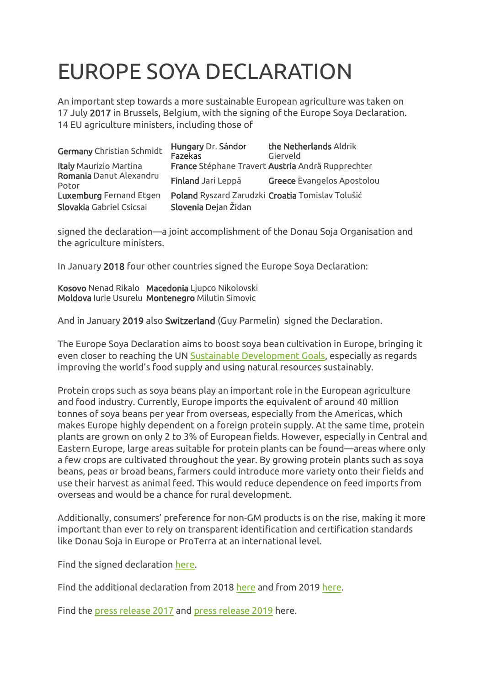# EUROPE SOYA DECLARATION

An important step towards a more sustainable European agriculture was taken on 17 July 2017 in Brussels, Belgium, with the signing of the Europe Soya Declaration. 14 EU agriculture ministers, including those of

| <b>Germany</b> Christian Schmidt | Hungary Dr. Sándor<br>Fazekas | the Netherlands Aldrik<br>Gierveld                |
|----------------------------------|-------------------------------|---------------------------------------------------|
| <b>Italy Maurizio Martina</b>    |                               | France Stéphane Travert Austria Andrä Rupprechter |
| Romania Danut Alexandru<br>Potor | Finland Jari Leppä            | Greece Evangelos Apostolou                        |
| <b>Luxemburg</b> Fernand Etgen   |                               | Poland Ryszard Zarudzki Croatia Tomislav Tolušić  |
| Slovakia Gabriel Csicsai         | Slovenia Dejan Židan          |                                                   |

signed the declaration—a joint accomplishment of the Donau Soja Organisation and the agriculture ministers.

In January 2018 four other countries signed the Europe Soya Declaration:

Kosovo Nenad Rikalo Macedonia Ljupco Nikolovski Moldova Iurie Usurelu Montenegro Milutin Simovic

And in January 2019 also Switzerland (Guy Parmelin) signed the Declaration.

The Europe Soya Declaration aims to boost soya bean cultivation in Europe, bringing it even closer to reaching the UN [Sustainable Development Goals,](https://sustainabledevelopment.un.org/sdgs) especially as regards improving the world's food supply and using natural resources sustainably.

Protein crops such as soya beans play an important role in the European agriculture and food industry. Currently, Europe imports the equivalent of around 40 million tonnes of soya beans per year from overseas, especially from the Americas, which makes Europe highly dependent on a foreign protein supply. At the same time, protein plants are grown on only 2 to 3% of European fields. However, especially in Central and Eastern Europe, large areas suitable for protein plants can be found—areas where only a few crops are cultivated throughout the year. By growing protein plants such as soya beans, peas or broad beans, farmers could introduce more variety onto their fields and use their harvest as animal feed. This would reduce dependence on feed imports from overseas and would be a chance for rural development.

Additionally, consumers' preference for non-GM products is on the rise, making it more important than ever to rely on transparent identification and certification standards like Donau Soja in Europe or ProTerra at an international level.

Find the signed declaration [here.](https://www.donausoja.org/fileadmin/user_upload/Activity/Media/European_Soya_signed_declaration.pdf)

Find the additional declaration from 2018 [here](https://www.donausoja.org/fileadmin/user_upload/Danube_Soya/About_us/DS_ES_Declaration/Additional_Declaration_on_ES_Declaration_signed_19.01.2018.png) and from 2019 [here.](https://www.donausoja.org/fileadmin/user_upload/Danube_Soya/About_us/DS_ES_Declaration/Additional_Declaration_on_ES_Declaration_signed_18.01.2019.pdf)

Find the [press release 2017](https://www.donausoja.org/fileadmin/user_upload/Press/Press_Release/Press_release_2017/PA_Europe_Soya_Declaration_20.07.2017.pdf) and [press release 2019](https://www.donausoja.org/fileadmin/user_upload/Press/Press_Release/PA_Schweiz_unterzeichnet_Europa_Soja_Erkla__rung_012019.pdf) here.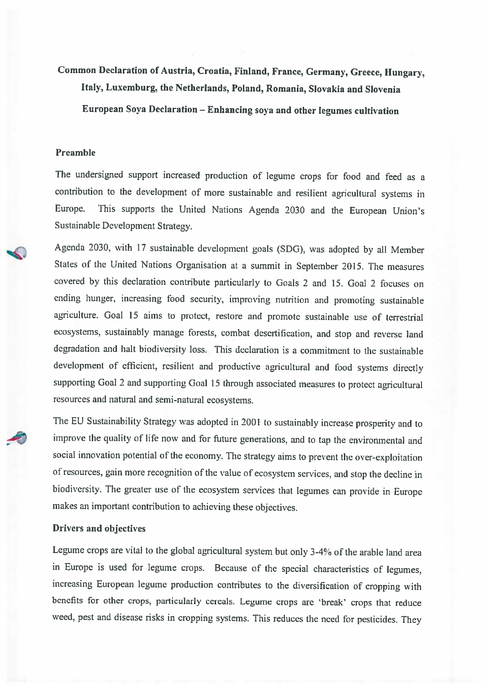Common Declaration of Austria, Croatia, Finland, France, Germany, Greece, Hungary, Italy, Luxemburg, the Netherlands, Poland, Romania, Slovakia and Slovenia European Soya Declaration - Enhancing soya and other legumes cultivation

#### Preamble

The undersigned support increased production of legume crops for food and feed as a contribution to the development of more sustainable and resilient agricultural systems in This supports the United Nations Agenda 2030 and the European Union's Europe. Sustainable Development Strategy.

Agenda 2030, with 17 sustainable development goals (SDG), was adopted by all Member States of the United Nations Organisation at a summit in September 2015. The measures covered by this declaration contribute particularly to Goals 2 and 15. Goal 2 focuses on ending hunger, increasing food security, improving nutrition and promoting sustainable agriculture. Goal 15 aims to protect, restore and promote sustainable use of terrestrial ecosystems, sustainably manage forests, combat desertification, and stop and reverse land degradation and halt biodiversity loss. This declaration is a commitment to the sustainable development of efficient, resilient and productive agricultural and food systems directly supporting Goal 2 and supporting Goal 15 through associated measures to protect agricultural resources and natural and semi-natural ecosystems.

The EU Sustainability Strategy was adopted in 2001 to sustainably increase prosperity and to improve the quality of life now and for future generations, and to tap the environmental and social innovation potential of the economy. The strategy aims to prevent the over-exploitation of resources, gain more recognition of the value of ecosystem services, and stop the decline in biodiversity. The greater use of the ecosystem services that legumes can provide in Europe makes an important contribution to achieving these objectives.

#### Drivers and objectives

Legume crops are vital to the global agricultural system but only 3-4% of the arable land area in Europe is used for legume crops. Because of the special characteristics of legumes, increasing European legume production contributes to the diversification of cropping with benefits for other crops, particularly cereals. Legume crops are 'break' crops that reduce weed, pest and disease risks in cropping systems. This reduces the need for pesticides. They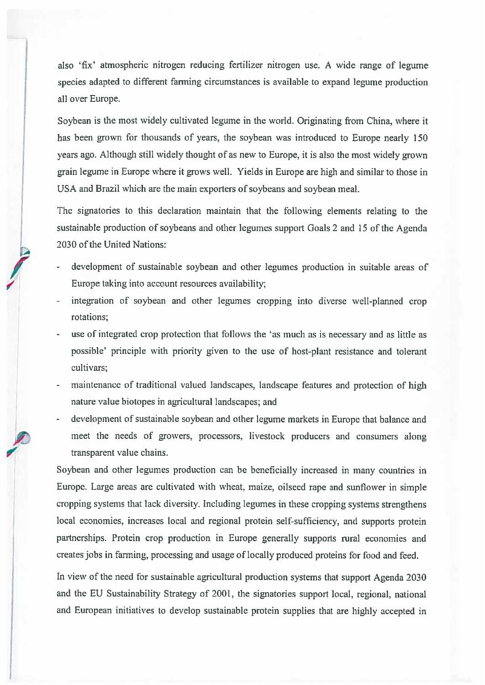also 'fix' atmospheric nitrogen reducing fertilizer nitrogen use. A wide range of legume species adapted to different farming circumstances is available to expand legume production all over Europe.

Soybean is the most widely cultivated legume in the world. Originating from China, where it has been grown for thousands of years, the soybean was introduced to Europe nearly 150 years ago. Although still widely thought of as new to Europe, it is also the most widely grown grain legume in Europe where it grows well. Yields in Europe are high and similar to those in USA and Brazil which are the main exporters of soybeans and soybean meal.

The signatories to this declaration maintain that the following elements relating to the sustainable production of soybeans and other legumes support Goals 2 and 15 of the Agenda 2030 of the United Nations:

- development of sustainable soybean and other legumes production in suitable areas of Europe taking into account resources availability;
- integration of soybean and other legumes cropping into diverse well-planned crop rotations:
- use of integrated crop protection that follows the 'as much as is necessary and as little as possible' principle with priority given to the use of host-plant resistance and tolerant cultivars:
- maintenance of traditional valued landscapes, landscape features and protection of high nature value biotopes in agricultural landscapes; and
- development of sustainable soybean and other legume markets in Europe that balance and meet the needs of growers, processors, livestock producers and consumers along transparent value chains.

Soybean and other legumes production can be beneficially increased in many countries in Europe. Large areas are cultivated with wheat, maize, oilseed rape and sunflower in simple cropping systems that lack diversity. Including legumes in these cropping systems strengthens local economies, increases local and regional protein self-sufficiency, and supports protein partnerships. Protein crop production in Europe generally supports rural economies and creates jobs in farming, processing and usage of locally produced proteins for food and feed.

In view of the need for sustainable agricultural production systems that support Agenda 2030 and the EU Sustainability Strategy of 2001, the signatories support local, regional, national and European initiatives to develop sustainable protein supplies that are highly accepted in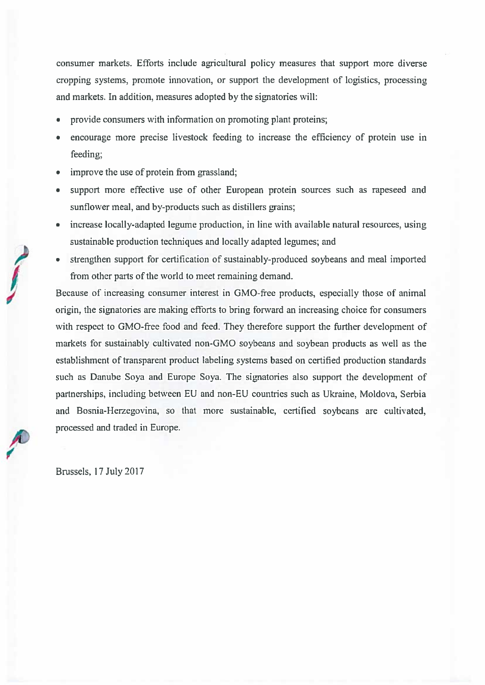consumer markets. Efforts include agricultural policy measures that support more diverse cropping systems, promote innovation, or support the development of logistics, processing and markets. In addition, measures adopted by the signatories will:

- provide consumers with information on promoting plant proteins;
- encourage more precise livestock feeding to increase the efficiency of protein use in feeding;
- improve the use of protein from grassland;
- support more effective use of other European protein sources such as rapeseed and sunflower meal, and by-products such as distillers grains;
- increase locally-adapted legume production, in line with available natural resources, using sustainable production techniques and locally adapted legumes; and
- strengthen support for certification of sustainably-produced soybeans and meal imported from other parts of the world to meet remaining demand.

Because of increasing consumer interest in GMO-free products, especially those of animal origin, the signatories are making efforts to bring forward an increasing choice for consumers with respect to GMO-free food and feed. They therefore support the further development of markets for sustainably cultivated non-GMO soybeans and soybean products as well as the establishment of transparent product labeling systems based on certified production standards such as Danube Soya and Europe Soya. The signatories also support the development of partnerships, including between EU and non-EU countries such as Ukraine, Moldova, Serbia and Bosnia-Herzegovina, so that more sustainable, certified soybeans are cultivated, processed and traded in Europe.

Brussels, 17 July 2017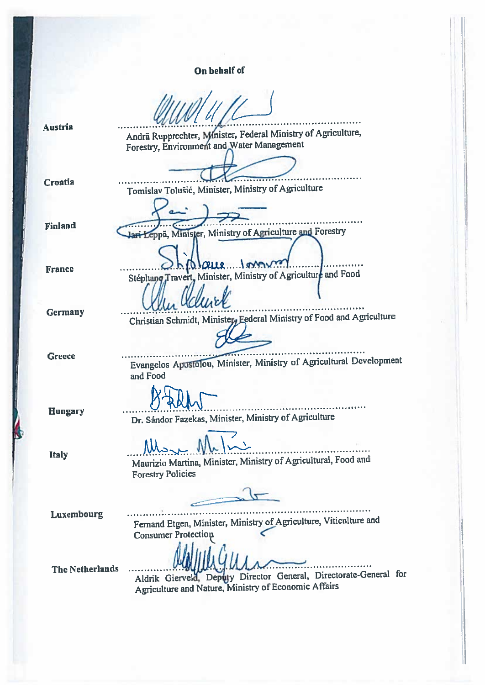On behalf of

Tomislav Tolušić, Minister, Ministry of Agriculture

 $1010$ le

Jari Leppä, Minister, Ministry of Agriculture and Forestry

Stephang Travert, Minister, Ministry of Agriculture and Food

**Austria** 

Andrä Rupprechter, Mnister, Federal Ministry of Agriculture, Forestry, Environment and Water Management

**Croatia** 

**Finland** 

**France** 

**Germany** 

**Greece** 

Evangelos Apostolou, Minister, Ministry of Agricultural Development and Food

Christian Schmidt, Minister, Federal Ministry of Food and Agriculture

1. . . . . . . . . . . . .

**Hungary** 

Dr. Sándor Fazekas, Minister, Ministry of Agriculture

**Italy** 

...................................... Maurizio Martina, Minister, Ministry of Agricultural, Food and **Forestry Policies** 

Luxembourg

. . . . . . . . . . . . . . . . . . . . Fernand Etgen, Minister, Ministry of Agriculture, Viticulture and **Consumer Protection** 

**The Netherlands** 

Aldrik Gierveld, Deputy Director General, Directorate-General for Agriculture and Nature, Ministry of Economic Affairs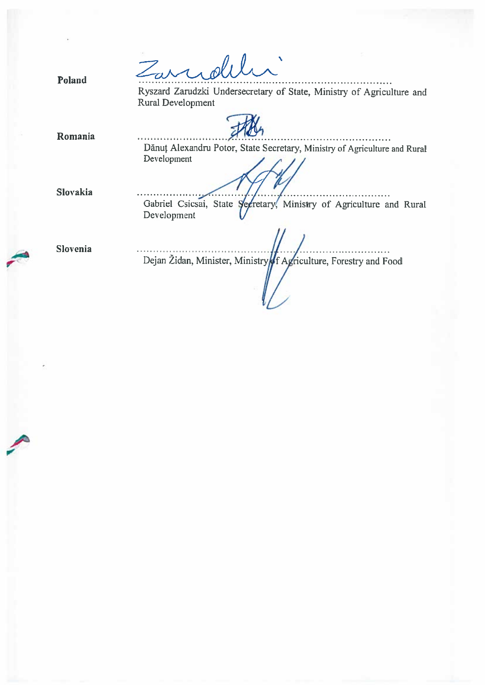Zarrolil Poland Ryszard Zarudzki Undersecretary of State, Ministry of Agriculture and Rural Development Romania Dănuț Alexandru Potor, State Secretary, Ministry of Agriculture and Rural Development Slovakia Gabriel Csicsai, State Secretary, Ministry of Agriculture and Rural Development Slovenia Dejan Židan, Minister, Ministry of Agriculture, Forestry and Food